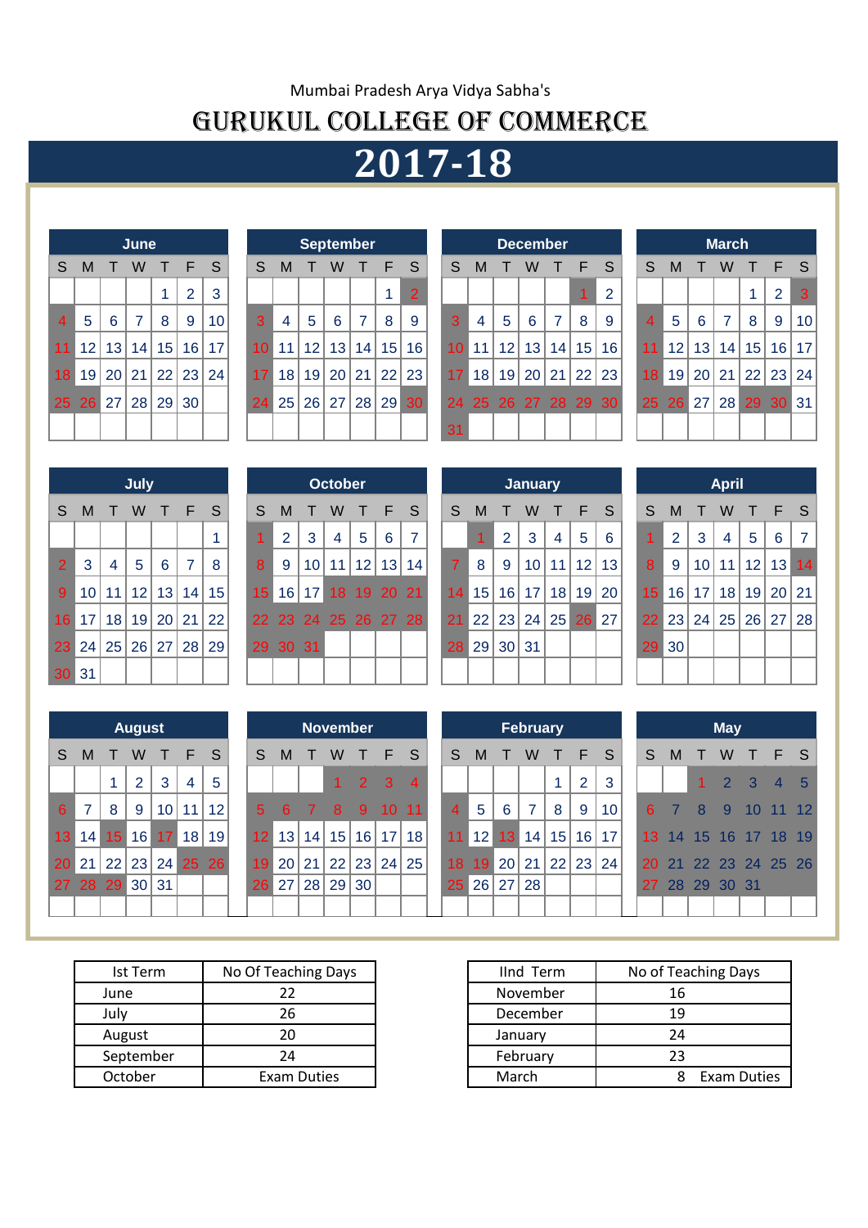## Mumbai Pradesh Arya Vidya Sabha's GURUKUL COLLEGE OF COMMERCE

# **2017-18**

|                |                |                | June           |                          |                |              |
|----------------|----------------|----------------|----------------|--------------------------|----------------|--------------|
| S              | M              | $\top$         | W              | T F                      |                | <sub>S</sub> |
|                |                |                |                | 1                        | $\overline{2}$ | 3            |
| $\overline{4}$ | 5              | 6 <sup>1</sup> | $\overline{7}$ | 8                        | 9              | 10           |
| 11             |                |                |                | $12$   13   14   15   16 |                | 17           |
| 18             |                |                |                | 19 20 21 22 23 24        |                |              |
| 25             | 26 27 28 29 30 |                |                |                          |                |              |
|                |                |                |                |                          |                |              |

|                 |   |                | <b>September</b>            |                |    |                |
|-----------------|---|----------------|-----------------------------|----------------|----|----------------|
| S               | M | $\top$         | W                           | $\top$         | -F | S              |
|                 |   |                |                             |                | 1  | $\overline{2}$ |
| 3               | 4 | 5 <sup>5</sup> | $6\phantom{1}6$             | $\overline{7}$ | 8  | 9              |
| 10 <sup>°</sup> |   |                | 11   12   13   14   15   16 |                |    |                |
|                 |   |                | 17 18 19 20 21 22 23        |                |    |                |
|                 |   |                | 24 25 26 27 28 29 30        |                |    |                |
|                 |   |                |                             |                |    |                |

|                |                 |                 | June |                 |       |                 |                 |    | <b>September</b> |                 |    |       |                 |                 |                 |                 | <b>December</b> |    |                     |                      |                 |    |    | <b>March</b>    |       |       |     |
|----------------|-----------------|-----------------|------|-----------------|-------|-----------------|-----------------|----|------------------|-----------------|----|-------|-----------------|-----------------|-----------------|-----------------|-----------------|----|---------------------|----------------------|-----------------|----|----|-----------------|-------|-------|-----|
| S.             | M               |                 | W    |                 | F     | S               | S               | M  |                  | w               |    | F     | S               | S               | M               |                 | w               |    | F                   | S                    | S               | M  |    | W               |       | F     | - S |
|                |                 |                 |      |                 | 2     | 3               |                 |    |                  |                 |    |       | $\overline{2}$  |                 |                 |                 |                 |    |                     | റ                    |                 |    |    |                 |       | 2     | 3   |
| 4 <sup>1</sup> | 5               | 6               | 7    | 8               | 9     | 10 <sup>°</sup> | $\mathbf{3}$    | 4  | 5                | 6               | 7  | 8     | -9              | 3               | 4               | 5               | 6               | 7  | 8                   | -9                   | $\overline{4}$  | 5  | 6  | 7               | 8     | 9     | 10  |
| 11             | 12 <sub>1</sub> | 13              | 14   | 15              | 16    | 17              | 10 <sup>°</sup> | 11 | 12 <sup>2</sup>  | 13              |    | 14 15 | 16              | 10 <sup>1</sup> | 11              | 12 <sub>1</sub> | 13              | 14 | 15                  | 16                   |                 | 12 | 13 | 14 <sub>1</sub> | 15    | 16 17 |     |
| 18             | 19              | 20 <sub>1</sub> | 21   | 22 <sup>1</sup> | 23    | 24              | 17              | 18 | 19               | 20 <sub>1</sub> | 21 | 22    | 23              | 17 <sup>1</sup> | 18 <sup>1</sup> | 19              |                 |    | $20$   21   22   23 |                      | 18 <sup>1</sup> | 19 | 20 | 21              | 22    | 23 24 |     |
|                | 25 26 27        |                 | 28   |                 | 29 30 |                 | 24              | 25 | 26               | 27              |    | 28 29 | 30 <sup>°</sup> |                 |                 |                 |                 |    |                     | 24 25 26 27 28 29 30 | 25              | 26 | 27 |                 | 28 29 | 30 31 |     |
|                |                 |                 |      |                 |       |                 |                 |    |                  |                 |    |       |                 | 31              |                 |                 |                 |    |                     |                      |                 |    |    |                 |       |       |     |
|                |                 |                 |      |                 |       |                 |                 |    |                  |                 |    |       |                 |                 |                 |                 |                 |    |                     |                      |                 |    |    |                 |       |       |     |

|    |    |             | <b>March</b>   |                |                |    |
|----|----|-------------|----------------|----------------|----------------|----|
| S  | M  | т           | W              | т              | -F             | S  |
|    |    |             |                | 1              | $\overline{2}$ | 3  |
| 4  | 5  | 6           | $\overline{7}$ | 8              | 9              | 10 |
| 11 | 12 |             |                | 13 14 15 16    |                | 17 |
| 18 | 19 |             |                | 20 21 22 23 24 |                |    |
| 25 |    | 26 27 28 29 |                |                | 30             | 31 |
|    |    |             |                |                |                |    |

|                 |    |                   | July |                 |                |    |
|-----------------|----|-------------------|------|-----------------|----------------|----|
| S               | M  | T                 | W    | T F             |                | S  |
|                 |    |                   |      |                 |                | 1  |
| $\overline{2}$  | 3  | 4                 | 5    | $6\phantom{1}6$ | $\overline{7}$ | 8  |
| 9               | 10 | 11                |      | $12$   13   14  |                | 15 |
| 16 <sup>2</sup> | 17 | 18   19   20   21 |      |                 |                | 22 |
| 23              |    | 24 25 26 27 28    |      |                 |                | 29 |
| 30              | 31 |                   |      |                 |                |    |

|                 |                 |                 | <b>July</b>     |                 |    |    |                 |                 |    | <b>October</b> |    |          |                      |                 |                 |                       | <b>January</b>  |    |                |                 |                 |                 |                 | <b>April</b>    |       |       |                |
|-----------------|-----------------|-----------------|-----------------|-----------------|----|----|-----------------|-----------------|----|----------------|----|----------|----------------------|-----------------|-----------------|-----------------------|-----------------|----|----------------|-----------------|-----------------|-----------------|-----------------|-----------------|-------|-------|----------------|
| S.              | M               |                 | W               |                 | F  | -S | S               | M               |    | W              |    | Æ        | -S                   | S               | M               |                       | w               |    | F              | -S              | S.              | M               |                 | W               |       | F.    | - S            |
|                 |                 |                 |                 |                 |    |    |                 | 2               | 3  | 4              | 5  | 6        | ⇁                    |                 |                 | 2                     | 3               | 4  | $5\phantom{1}$ | 6               |                 | 2               | 3               | 4               | 5     | 6     | $\overline{7}$ |
| 2 <sup>7</sup>  | 3               | 4               | $5\phantom{.0}$ | 6               | 7  | 8  | 8               | 9               | 10 | 11             | 12 | 13       | 14                   |                 | 8               | -9                    | 10 <sup>1</sup> | 11 | 12             | 13              | 8               | 9               | 10 <sup>°</sup> | 11              | 12    | 13    | 14             |
| 9 <sup>°</sup>  | 10 <sup>°</sup> | 11              | 12 <sub>1</sub> | 13              | 14 | 15 | 15 <sub>1</sub> | 16 <sup>1</sup> | 17 | 18.            |    | 19 20 21 |                      | 14 <sup>°</sup> | 15              | 16 <sup>1</sup>       | 17              | 18 | 19             | 20 <sub>1</sub> | 15 <sup>2</sup> | 16 <sup>1</sup> | 17              | 18 <sup>1</sup> | 19    | 20 21 |                |
| 16 <sup>°</sup> | 17              | 18              | 19              | 20 21           |    | 22 |                 |                 |    |                |    |          | 22 23 24 25 26 27 28 | 21              | 22 <sub>1</sub> | $^{\circ}$ 23 $\vert$ | 24              | 25 | 26             | 27              | <b>22</b>       | 23              | 24              |                 | 25 26 | 27 28 |                |
|                 | 23 24           | 25 <sub>1</sub> | 26              | 27 <sup>1</sup> | 28 | 29 |                 | 29 30 31        |    |                |    |          |                      | 28              | 29              | 30 31                 |                 |    |                |                 | 29              | 30              |                 |                 |       |       |                |
|                 | 30 31           |                 |                 |                 |    |    |                 |                 |    |                |    |          |                      |                 |                 |                       |                 |    |                |                 |                 |                 |                 |                 |       |       |                |

|                |   |                | <b>January</b> |                |                      |    |
|----------------|---|----------------|----------------|----------------|----------------------|----|
| S              | М | $\top$         | W              | $T$ F          |                      | S  |
|                | 1 | $\overline{2}$ | 3              | $\overline{4}$ | 5                    | 6  |
| $\overline{7}$ | 8 | 9              |                |                | $10$   11   12       | 13 |
|                |   |                |                |                | 14 15 16 17 18 19 20 |    |
| 21             |   | 22 23 24 25 26 |                |                |                      | 27 |
|                |   | 28 29 30 31    |                |                |                      |    |
|                |   |                |                |                |                      |    |

|                 |                |                      | <b>April</b>   |     |                     |   |
|-----------------|----------------|----------------------|----------------|-----|---------------------|---|
| S               | М              | $\top$               | W              | T F |                     | S |
| 1               | $\overline{2}$ | 3                    | $\overline{4}$ | 5   | 6                   | 7 |
| 8               | 9              | 10 <sup>1</sup>      |                |     | $11$   12   13   14 |   |
| 15 <sup>1</sup> |                | 16 17 18 19 20 21    |                |     |                     |   |
|                 |                | 22 23 24 25 26 27 28 |                |     |                     |   |
| 29              | 30             |                      |                |     |                     |   |
|                 |                |                      |                |     |                     |   |

|                 |    |             | <b>August</b>  |                        |   |    |
|-----------------|----|-------------|----------------|------------------------|---|----|
| S               | M  | т           | W              | T F                    |   | S  |
|                 |    | 1           | $\overline{2}$ | 3                      | 4 | 5  |
| 6               | 7  | 8           | 9              | 10 11                  |   | 12 |
| 13 <sup>°</sup> | 14 |             |                | 15 16 17 18 19         |   |    |
| 20              |    |             |                | 21   22   23   24   25 |   | 26 |
| 27              |    | 28 29 30 31 |                |                        |   |    |
|                 |    |             |                |                        |   |    |

|                 |         |                 | <b>August</b> |                 |    |                   |                 |    |    |     | <b>November</b> |       |                 |                 |                   |                 | <b>February</b> |                 |    |                 |                 |    |              | <b>May</b>     |     |                |     |
|-----------------|---------|-----------------|---------------|-----------------|----|-------------------|-----------------|----|----|-----|-----------------|-------|-----------------|-----------------|-------------------|-----------------|-----------------|-----------------|----|-----------------|-----------------|----|--------------|----------------|-----|----------------|-----|
| S.              | M       |                 | W             |                 | F  | -S                | S               | M  |    | w   |                 | F S   |                 | S               | M                 |                 | w               |                 | F  | -S              | S               | M  |              | W              | T.  | F S            |     |
|                 |         |                 | 2             | 3               | 4  | 5                 |                 |    |    |     | 2               | -3.   | $\overline{4}$  |                 |                   |                 |                 |                 | 2  | 3               |                 |    | $\mathbf{1}$ | $\overline{2}$ | 3   | $\overline{4}$ | - 5 |
| 6 <sup>1</sup>  | 7       | 8               | 9             | 10 <sup>1</sup> | 11 | $12 \overline{ }$ | 5.              | 6  |    | 8   | 9               | 10    | 11              |                 | 5                 | 6               | 7               | 8               | 9  | 10 <sup>1</sup> | 6.              |    | 8            | 9              | 10  | 11 12          |     |
| 13 <sup>°</sup> | 14      | 15 <sup>1</sup> | 16            | 17              | 18 | 19 <sup>1</sup>   | 12 <sup>2</sup> | 13 | 14 | 15  | 16              | 17    | 18 <sup>1</sup> | 11 <sup>1</sup> | $12 \overline{ }$ | 13              | 14              | 15              | 16 | 17              | 13 <sup>°</sup> | 14 | 15           | 16             | -17 | 18 19          |     |
|                 | $20$ 21 | 22 <sup>1</sup> | 23            | 24              |    | 25 26             | 19              | 20 | 21 | 22' |                 | 23 24 | 25              | 18              | 19                | 20 <sub>l</sub> | 21              | 22 <sub>1</sub> |    | 23 24           |                 | 21 | 22           | 23 24 25 26    |     |                |     |
|                 |         | 27 28 29        | 30            | 31              |    |                   | 26              | 27 | 28 | 29  | 30 <sub>1</sub> |       |                 | 25 <sub>1</sub> | 26                | 27 <sup>1</sup> | 28              |                 |    |                 | 27              | 28 | 29           | 30 31          |     |                |     |
|                 |         |                 |               |                 |    |                   |                 |    |    |     |                 |       |                 |                 |                   |                 |                 |                 |    |                 |                 |    |              |                |     |                |     |

|                 |   |             | <b>February</b>   |       |                |                |
|-----------------|---|-------------|-------------------|-------|----------------|----------------|
| <sub>S</sub>    | М | $\top$      |                   | W T F |                | S              |
|                 |   |             |                   | 1     | $\overline{2}$ | 3              |
| 4               | 5 | 6           | $\overline{7}$    | 8     | 9              | 1 <sub>0</sub> |
| 11              |   |             | 12 13 14 15 16 17 |       |                |                |
| 18 <sup>°</sup> |   |             | 19 20 21 22 23 24 |       |                |                |
|                 |   | 25 26 27 28 |                   |       |                |                |
|                 |   |             |                   |       |                |                |

|   |                | <b>May</b>     |                      |   |
|---|----------------|----------------|----------------------|---|
| S |                |                | M T W T F            | S |
|   |                |                | 1 2 3 4 5            |   |
| 6 | $\overline{7}$ |                | 8 9 10 11 12         |   |
|   |                |                | 13 14 15 16 17 18 19 |   |
|   |                |                | 20 21 22 23 24 25 26 |   |
|   |                | 27 28 29 30 31 |                      |   |
|   |                |                |                      |   |

| Ist Term  | No Of Teaching Days | IInd Term | No of Tea |
|-----------|---------------------|-----------|-----------|
| June      |                     | November  | 16        |
| July      | 26                  | December  | 19        |
| August    | 20                  | January   | 24        |
| September | 24                  | February  | 23        |
| October   | <b>Exam Duties</b>  | March     | 8         |

| Ist Term  | No Of Teaching Days | lind Term | No of Teaching Days |
|-----------|---------------------|-----------|---------------------|
| June      |                     | November  | 16                  |
| July      | 26                  | December  | 19                  |
| August    | 20                  | January   | 24                  |
| September | 24                  | February  | 23                  |
| October   | Exam Duties         | March     | <b>Exam Duties</b>  |
|           |                     |           |                     |